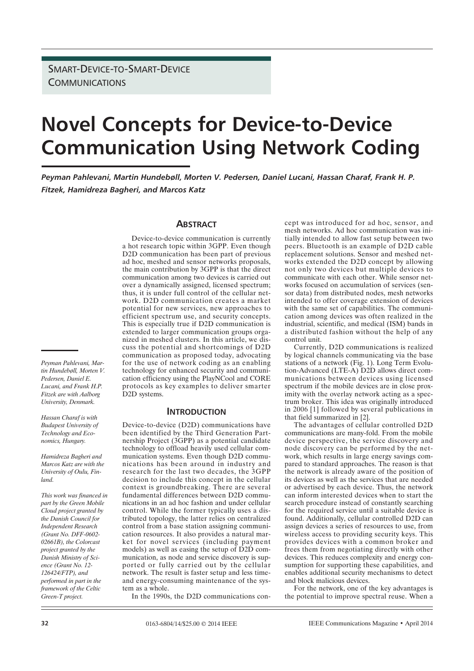# **Novel Concepts for Device-to-Device Communication Using Network Coding**

*Peyman Pahlevani, Martin Hundebøll, Morten V. Pedersen, Daniel Lucani, Hassan Charaf, Frank H. P. Fitzek, Hamidreza Bagheri, and Marcos Katz*

### **ABSTRACT**

Device-to-device communication is currently a hot research topic within 3GPP. Even though D<sub>2</sub>D communication has been part of previous ad hoc, meshed and sensor networks proposals, the main contribution by 3GPP is that the direct communication among two devices is carried out over a dynamically assigned, licensed spectrum; thus, it is under full control of the cellular network. D2D communication creates a market potential for new services, new approaches to efficient spectrum use, and security concepts. This is especially true if D2D communication is extended to larger communication groups organized in meshed clusters. In this article, we discuss the potential and shortcomings of D2D communication as proposed today, advocating for the use of network coding as an enabling technology for enhanced security and communication efficiency using the PlayNCool and CORE protocols as key examples to deliver smarter D2D systems.

### **INTRODUCTION**

Device-to-device (D2D) communications have been identified by the Third Generation Partnership Project (3GPP) as a potential candidate technology to offload heavily used cellular communication systems. Even though D2D communications has been around in industry and research for the last two decades, the 3GPP decision to include this concept in the cellular context is groundbreaking. There are several fundamental differences between D2D communications in an ad hoc fashion and under cellular control. While the former typically uses a distributed topology, the latter relies on centralized control from a base station assigning communication resources. It also provides a natural market for novel services (including payment models) as well as easing the setup of D2D communication, as node and service discovery is supported or fully carried out by the cellular network. The result is faster setup and less timeand energy-consuming maintenance of the system as a whole.

In the 1990s, the D2D communications con-

cept was introduced for ad hoc, sensor, and mesh networks. Ad hoc communication was initially intended to allow fast setup between two peers. Bluetooth is an example of D2D cable replacement solutions. Sensor and meshed networks extended the D2D concept by allowing not only two devices but multiple devices to communicate with each other. While sensor networks focused on accumulation of services (sensor data) from distributed nodes, mesh networks intended to offer coverage extension of devices with the same set of capabilities. The communication among devices was often realized in the industrial, scientific, and medical (ISM) bands in a distributed fashion without the help of any control unit.

Currently, D2D communications is realized by logical channels communicating via the base stations of a network (Fig. 1). Long Term Evolution-Advanced (LTE-A) D2D allows direct communications between devices using licensed spectrum if the mobile devices are in close proximity with the overlay network acting as a spectrum broker. This idea was originally introduced in 2006 [1] followed by several publications in that field summarized in [2].

The advantages of cellular controlled D2D communications are many-fold. From the mobile device perspective, the service discovery and node discovery can be performed by the network, which results in large energy savings compared to standard approaches. The reason is that the network is already aware of the position of its devices as well as the services that are needed or advertised by each device. Thus, the network can inform interested devices when to start the search procedure instead of constantly searching for the required service until a suitable device is found. Additionally, cellular controlled D2D can assign devices a series of resources to use, from wireless access to providing security keys. This provides devices with a common broker and frees them from negotiating directly with other devices. This reduces complexity and energy consumption for supporting these capabilities, and enables additional security mechanisms to detect and block malicious devices.

For the network, one of the key advantages is the potential to improve spectral reuse. When a

*Peyman Pahlevani, Martin Hundebøll, Morten V. Pedersen, Daniel E. Lucani, and Frank H.P. Fitzek are with Aalborg University, Denmark.*

*Hassan Charaf is with Budapest University of Technology and Economics, Hungary.*

*Hamidreza Bagheri and Marcos Katz are with the University of Oulu, Finland.*

*This work was financed in part by the Green Mobile Cloud project granted by the Danish Council for Independent Research (Grant No. DFF-0602- 02661B), the Colorcast project granted by the Danish Ministry of Science (Grant No. 12- 126424/FTP), and performed in part in the framework of the Celtic Green-T project.*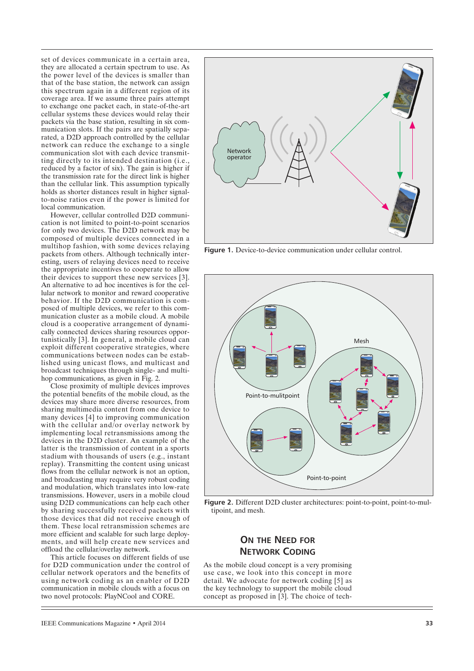set of devices communicate in a certain area, they are allocated a certain spectrum to use. As the power level of the devices is smaller than that of the base station, the network can assign this spectrum again in a different region of its coverage area. If we assume three pairs attempt to exchange one packet each, in state-of-the-art cellular systems these devices would relay their packets via the base station, resulting in six communication slots. If the pairs are spatially separated, a D2D approach controlled by the cellular network can reduce the exchange to a single communication slot with each device transmitting directly to its intended destination (i.e., reduced by a factor of six). The gain is higher if the transmission rate for the direct link is higher than the cellular link. This assumption typically holds as shorter distances result in higher signalto-noise ratios even if the power is limited for local communication.

However, cellular controlled D2D communication is not limited to point-to-point scenarios for only two devices. The D2D network may be composed of multiple devices connected in a multihop fashion, with some devices relaying packets from others. Although technically interesting, users of relaying devices need to receive the appropriate incentives to cooperate to allow their devices to support these new services [3]. An alternative to ad hoc incentives is for the cellular network to monitor and reward cooperative behavior. If the D2D communication is composed of multiple devices, we refer to this communication cluster as a mobile cloud. A mobile cloud is a cooperative arrangement of dynamically connected devices sharing resources opportunistically [3]. In general, a mobile cloud can exploit different cooperative strategies, where communications between nodes can be established using unicast flows, and multicast and broadcast techniques through single- and multihop communications, as given in Fig. 2.

Close proximity of multiple devices improves the potential benefits of the mobile cloud, as the devices may share more diverse resources, from sharing multimedia content from one device to many devices [4] to improving communication with the cellular and/or overlay network by implementing local retransmissions among the devices in the D2D cluster. An example of the latter is the transmission of content in a sports stadium with thousands of users (e.g., instant replay). Transmitting the content using unicast flows from the cellular network is not an option, and broadcasting may require very robust coding and modulation, which translates into low-rate transmissions. However, users in a mobile cloud using D2D communications can help each other by sharing successfully received packets with those devices that did not receive enough of them. These local retransmission schemes are more efficient and scalable for such large deployments, and will help create new services and offload the cellular/overlay network.

This article focuses on different fields of use for D2D communication under the control of cellular network operators and the benefits of using network coding as an enabler of D2D communication in mobile clouds with a focus on two novel protocols: PlayNCool and CORE.



Figure 1. Device-to-device communication under cellular control.



**Figure 2.** Different D2D cluster architectures: point-to-point, point-to-multipoint, and mesh.

## **ON THE NEED FOR NETWORK CODING**

As the mobile cloud concept is a very promising use case, we look into this concept in more detail. We advocate for network coding [5] as the key technology to support the mobile cloud concept as proposed in [3]. The choice of tech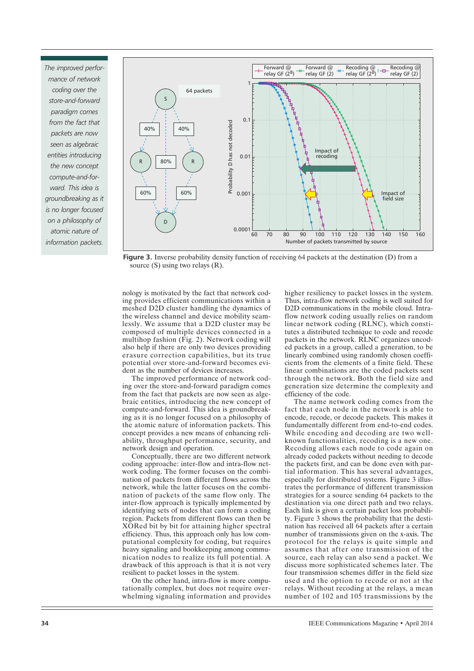*The improved performance of network coding over the store-and-forward paradigm comes from the fact that packets are now seen as algebraic entities introducing the new concept compute-and-forward. This idea is groundbreaking as it is no longer focused on a philosophy of atomic nature of information packets.*



**Figure 3.** Inverse probability density function of receiving 64 packets at the destination (D) from a source (S) using two relays (R).

nology is motivated by the fact that network coding provides efficient communications within a meshed D2D cluster handling the dynamics of the wireless channel and device mobility seamlessly. We assume that a D2D cluster may be composed of multiple devices connected in a multihop fashion (Fig. 2). Network coding will also help if there are only two devices providing erasure correction capabilities, but its true potential over store-and-forward becomes evident as the number of devices increases.

The improved performance of network coding over the store-and-forward paradigm comes from the fact that packets are now seen as algebraic entities, introducing the new concept of compute-and-forward. This idea is groundbreaking as it is no longer focused on a philosophy of the atomic nature of information packets. This concept provides a new means of enhancing reliability, throughput performance, security, and network design and operation.

Conceptually, there are two different network coding approache: inter-flow and intra-flow network coding. The former focuses on the combination of packets from different flows across the network, while the latter focuses on the combination of packets of the same flow only. The inter-flow approach is typically implemented by identifying sets of nodes that can form a coding region. Packets from different flows can then be XORed bit by bit for attaining higher spectral efficiency. Thus, this approach only has low computational complexity for coding, but requires heavy signaling and bookkeeping among communication nodes to realize its full potential. A drawback of this approach is that it is not very resilient to packet losses in the system.

On the other hand, intra-flow is more computationally complex, but does not require overwhelming signaling information and provides higher resiliency to packet losses in the system. Thus, intra-flow network coding is well suited for D2D communications in the mobile cloud. Intraflow network coding usually relies on random linear network coding (RLNC), which constitutes a distributed technique to code and recode packets in the network. RLNC organizes uncoded packets in a group, called a generation, to be linearly combined using randomly chosen coefficients from the elements of a finite field. These linear combinations are the coded packets sent through the network. Both the field size and generation size determine the complexity and efficiency of the code.

The name network coding comes from the fact that each node in the network is able to encode, recode, or decode packets. This makes it fundamentally different from end-to-end codes. While encoding and decoding are two wellknown functionalities, recoding is a new one. Recoding allows each node to code again on already coded packets without needing to decode the packets first, and can be done even with partial information. This has several advantages, especially for distributed systems. Figure 3 illustrates the performance of different transmission strategies for a source sending 64 packets to the destination via one direct path and two relays. Each link is given a certain packet loss probability. Figure 3 shows the probability that the destination has received all 64 packets after a certain number of transmissions given on the x-axis. The protocol for the relays is quite simple and assumes that after one transmission of the source, each relay can also send a packet. We discuss more sophisticated schemes later. The four transmission schemes differ in the field size used and the option to recode or not at the relays. Without recoding at the relays, a mean number of 102 and 105 transmissions by the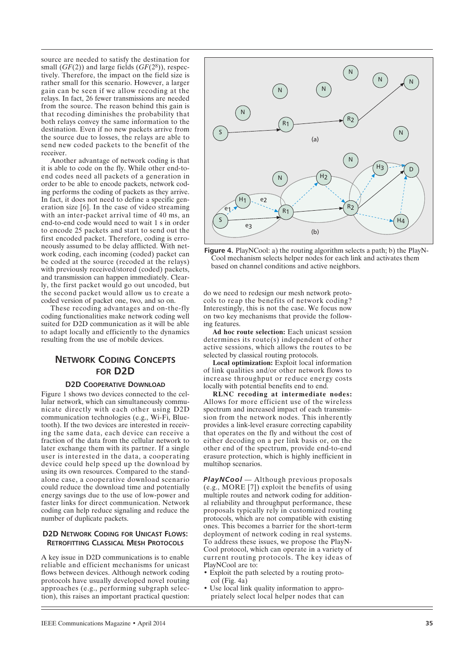source are needed to satisfy the destination for small (*GF*(2)) and large fields (*GF*(28)), respectively. Therefore, the impact on the field size is rather small for this scenario. However, a larger gain can be seen if we allow recoding at the relays. In fact, 26 fewer transmissions are needed from the source. The reason behind this gain is that recoding diminishes the probability that both relays convey the same information to the destination. Even if no new packets arrive from the source due to losses, the relays are able to send new coded packets to the benefit of the receiver.

Another advantage of network coding is that it is able to code on the fly. While other end-toend codes need all packets of a generation in order to be able to encode packets, network coding performs the coding of packets as they arrive. In fact, it does not need to define a specific generation size [6]. In the case of video streaming with an inter-packet arrival time of 40 ms. an end-to-end code would need to wait 1 s in order to encode 25 packets and start to send out the first encoded packet. Therefore, coding is erroneously assumed to be delay afflicted. With network coding, each incoming (coded) packet can be coded at the source (recoded at the relays) with previously received/stored (coded) packets, and transmission can happen immediately. Clearly, the first packet would go out uncoded, but the second packet would allow us to create a coded version of packet one, two, and so on.

These recoding advantages and on-the-fly coding functionalities make network coding well suited for D2D communication as it will be able to adapt locally and efficiently to the dynamics resulting from the use of mobile devices.

### **NETWORK CODING CONCEPTS FOR D2D**

### **D2D COOPERATIVE DOWNLOAD**

Figure 1 shows two devices connected to the cellular network, which can simultaneously communicate directly with each other using D2D communication technologies (e.g., Wi-Fi, Bluetooth). If the two devices are interested in receiving the same data, each device can receive a fraction of the data from the cellular network to later exchange them with its partner. If a single user is interested in the data, a cooperating device could help speed up the download by using its own resources. Compared to the stand alone case, a cooperative download scenario could reduce the download time and potentially energy savings due to the use of low-power and faster links for direct communication. Network coding can help reduce signaling and reduce the number of duplicate packets.

### **D2D NETWORK CODING FOR UNICAST FLOWS: RETROFITTING CLASSICAL MESH PROTOCOLS**

A key issue in D2D communications is to enable reliable and efficient mechanisms for unicast flows between devices. Although network coding protocols have usually developed novel routing approaches (e.g., performing subgraph selection), this raises an important practical question:



**Figure 4.** PlayNCool: a) the routing algorithm selects a path; b) the PlayN-Cool mechanism selects helper nodes for each link and activates them based on channel conditions and active neighbors.

do we need to redesign our mesh network protocols to reap the benefits of network coding? Interestingly, this is not the case. We focus now on two key mechanisms that provide the following features.

**Ad hoc route selection:** Each unicast session determines its route(s) independent of other active sessions, which allows the routes to be selected by classical routing protocols.

**Local optimization:** Exploit local information of link qualities and/or other network flows to increase throughput or reduce energy costs locally with potential benefits end to end.

**RLNC recoding at intermediate nodes:** Allows for more efficient use of the wireless spectrum and increased impact of each transmission from the network nodes. This inherently provides a link-level erasure correcting capability that operates on the fly and without the cost of either decoding on a per link basis or, on the other end of the spectrum, provide end-to-end erasure protection, which is highly inefficient in multihop scenarios.

*PlayNCool* — Although previous proposals (e.g., MORE [7]) exploit the benefits of using multiple routes and network coding for additional reliability and throughput performance, these proposals typically rely in customized routing protocols, which are not compatible with existing ones. This becomes a barrier for the short-term deployment of network coding in real systems. To address these issues, we propose the PlayN-Cool protocol, which can operate in a variety of current routing protocols. The key ideas of PlayNCool are to:

- Exploit the path selected by a routing proto- $\overline{\text{col}}$  (Fig. 4a)
- Use local link quality information to appropriately select local helper nodes that can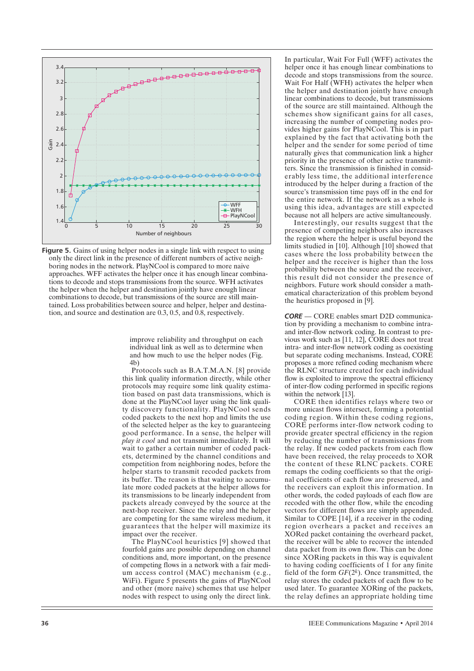

**Figure 5.** Gains of using helper nodes in a single link with respect to using only the direct link in the presence of different numbers of active neighboring nodes in the network. PlayNCool is compared to more naive approaches. WFF activates the helper once it has enough linear combinations to decode and stops transmissions from the source. WFH activates the helper when the helper and destination jointly have enough linear combinations to decode, but transmissions of the source are still maintained. Loss probabilities between source and helper, helper and destination, and source and destination are 0.3, 0.5, and 0.8, respectively.

improve reliability and throughput on each individual link as well as to determine when and how much to use the helper nodes (Fig. 4b)

Protocols such as B.A.T.M.A.N. [8] provide this link quality information directly, while other protocols may require some link quality estimation based on past data transmissions, which is done at the PlayNCool layer using the link quality discovery functionality. PlayNCool sends coded packets to the next hop and limits the use of the selected helper as the key to guaranteeing good performance. In a sense, the helper will *play it cool* and not transmit immediately. It will wait to gather a certain number of coded packets, determined by the channel conditions and competition from neighboring nodes, before the helper starts to transmit recoded packets from its buffer. The reason is that waiting to accumulate more coded packets at the helper allows for its transmissions to be linearly independent from packets already conveyed by the source at the next-hop receiver. Since the relay and the helper are competing for the same wireless medium, it guarantees that the helper will maximize its impact over the receiver.

The PlayNCool heuristics [9] showed that fourfold gains are possible depending on channel conditions and, more important, on the presence of competing flows in a network with a fair medium access control (MAC) mechanism (e.g., WiFi). Figure 5 presents the gains of PlayNCool and other (more naive) schemes that use helper nodes with respect to using only the direct link. In particular, Wait For Full (WFF) activates the helper once it has enough linear combinations to decode and stops transmissions from the source. Wait For Half (WFH) activates the helper when the helper and destination jointly have enough linear combinations to decode, but transmissions of the source are still maintained. Although the schemes show significant gains for all cases, increasing the number of competing nodes provides higher gains for PlayNCool. This is in part explained by the fact that activating both the helper and the sender for some period of time naturally gives that communication link a higher priority in the presence of other active transmitters. Since the transmission is finished in considerably less time, the additional interference introduced by the helper during a fraction of the source's transmission time pays off in the end for the entire network. If the network as a whole is using this idea, advantages are still expected because not all helpers are active simultaneously.

Interestingly, our results suggest that the presence of competing neighbors also increases the region where the helper is useful beyond the limits studied in [10]. Although [10] showed that cases where the loss probability between the helper and the receiver is higher than the loss probability between the source and the receiver, this result did not consider the presence of neighbors. Future work should consider a mathematical characterization of this problem beyond the heuristics proposed in [9].

*CORE* — CORE enables smart D2D communication by providing a mechanism to combine intraand inter-flow network coding. In contrast to previous work such as [11, 12], CORE does not treat intra- and inter-flow network coding as coexisting but separate coding mechanisms. Instead, CORE proposes a more refined coding mechanism where the RLNC structure created for each individual flow is exploited to improve the spectral efficiency of inter-flow coding performed in specific regions within the network [13].

CORE then identifies relays where two or more unicast flows intersect, forming a potential coding region. Within these coding regions, CORE performs inter-flow network coding to provide greater spectral efficiency in the region by reducing the number of transmissions from the relay. If new coded packets from each flow have been received, the relay proceeds to XOR the content of these RLNC packets. CORE remaps the coding coefficients so that the original coefficients of each flow are preserved, and the receivers can exploit this information. In other words, the coded payloads of each flow are recoded with the other flow, while the encoding vectors for different flows are simply appended. Similar to COPE [14], if a receiver in the coding region overhears a packet and receives an XORed packet containing the overheard packet, the receiver will be able to recover the intended data packet from its own flow. This can be done since XORing packets in this way is equivalent to having coding coefficients of 1 for any finite field of the form *GF*(2*k*). Once transmitted, the relay stores the coded packets of each flow to be used later. To guarantee XORing of the packets, the relay defines an appropriate holding time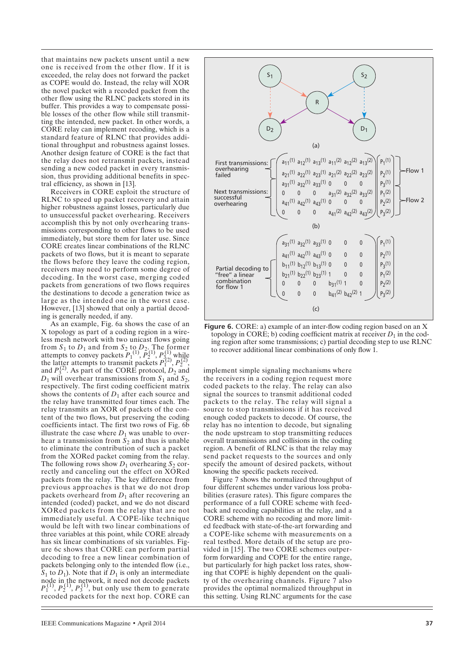that maintains new packets unsent until a new one is received from the other flow. If it is exceeded, the relay does not forward the packet as COPE would do. Instead, the relay will XOR the novel packet with a recoded packet from the other flow using the RLNC packets stored in its buffer. This provides a way to compensate possible losses of the other flow while still transmitting the intended, new packet. In other words, a CORE relay can implement recoding, which is a standard feature of RLNC that provides additional throughput and robustness against losses. Another design feature of CORE is the fact that the relay does not retransmit packets, instead sending a new coded packet in every transmission, thus providing additional benefits in spectral efficiency, as shown in [13].

Receivers in CORE exploit the structure of RLNC to speed up packet recovery and attain higher robustness against losses, particularly due to unsuccessful packet overhearing. Receivers accomplish this by not only overhearing transmissions corresponding to other flows to be used immediately, but store them for later use. Since CORE creates linear combinations of the RLNC packets of two flows, but it is meant to separate the flows before they leave the coding region, receivers may need to perform some degree of decoding. In the worst case, merging coded packets from generations of two flows requires the destinations to decode a generation twice as large as the intended one in the worst case. However, [13] showed that only a partial decoding is generally needed, if any.

As an example, Fig. 6a shows the case of an X topology as part of a coding region in a wireless mesh network with two unicast flows going from  $S_1$  to  $D_1$  and from  $S_2$  to  $D_2$ . The former attempts to convey packets  $P_1^{(1)}$ ,  $P_2^{(1)}$ ,  $P_{3/2}^{(1)}$  while the latter attempts to transmit packets  $P_1^{(2)}$ ,  $P_2^{(2)}$ , and  $P_3^{(2)}$ . As part of the CORE protocol,  $D_2$  and  $D_1$  will overhear transmissions from  $S_1$  and  $S_2$ , respectively. The first coding coefficient matrix shows the contents of  $D_1$  after each source and the relay have transmitted four times each. The relay transmits an XOR of packets of the content of the two flows, but preserving the coding coefficients intact. The first two rows of Fig. 6b illustrate the case where  $D_1$  was unable to overhear a transmission from  $\overline{S}_2$  and thus is unable to eliminate the contribution of such a packet from the XORed packet coming from the relay. The following rows show  $D_1$  overhearing  $S_2$  correctly and canceling out the effect on XORed packets from the relay. The key difference from previous approaches is that we do not drop packets overheard from  $D_1$  after recovering an intended (coded) packet, and we do not discard XORed packets from the relay that are not immediately useful. A COPE-like technique would be left with two linear combinations of three variables at this point, while CORE already has six linear combinations of six variables. Figure 6c shows that CORE can perform partial decoding to free a new linear combination of packets belonging only to the intended flow (i.e.,  $S_1$  to  $D_1$ ). Note that if  $D_1$  is only an intermediate node in the network, it need not decode packets  $P_1^{(1)}$ ,  $P_2^{(1)}$ ,  $P_3^{(1)}$ , but only use them to generate recoded packets for the next hop. CORE can



**Figure 6.** CORE: a) example of an inter-flow coding region based on an X topology in CORE; b) coding coefficient matrix at receiver  $D_1$  in the coding region after some transmissions; c) partial decoding step to use RLNC to recover additional linear combinations of only flow 1.

implement simple signaling mechanisms where the receivers in a coding region request more coded packets to the relay. The relay can also signal the sources to transmit additional coded packets to the relay. The relay will signal a source to stop transmissions if it has received enough coded packets to decode. Of course, the relay has no intention to decode, but signaling the node upstream to stop transmitting reduces overall transmissions and collisions in the coding region. A benefit of RLNC is that the relay may send packet requests to the sources and only specify the amount of desired packets, without knowing the specific packets received.

Figure 7 shows the normalized throughput of four different schemes under various loss probabilities (erasure rates). This figure compares the performance of a full CORE scheme with feedback and recoding capabilities at the relay, and a CORE scheme with no recoding and more limited feedback with state-of-the-art forwarding and a COPE-like scheme with measurements on a real testbed. More details of the setup are provided in [15]. The two CORE schemes outperform forwarding and COPE for the entire range, but particularly for high packet loss rates, showing that COPE is highly dependent on the quality of the overhearing channels. Figure 7 also provides the optimal normalized throughput in this setting. Using RLNC arguments for the case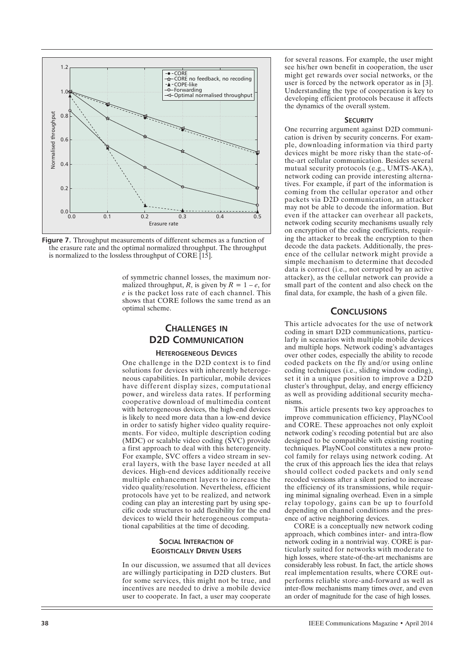

**Figure 7.** Throughput measurements of different schemes as a function of the erasure rate and the optimal normalized throughput. The throughput is normalized to the lossless throughput of CORE [15].

of symmetric channel losses, the maximum normalized throughput, *R*, is given by  $R = 1 - e$ , for *e* is the packet loss rate of each channel. This shows that CORE follows the same trend as an optimal scheme.

# **CHALLENGES IN D2D COMMUNICATION**

### **HETEROGENEOUS DEVICES**

One challenge in the D2D context is to find solutions for devices with inherently heterogeneous capabilities. In particular, mobile devices have different display sizes, computational power, and wireless data rates. If performing cooperative download of multimedia content with heterogeneous devices, the high-end devices is likely to need more data than a low-end device in order to satisfy higher video quality requirements. For video, multiple description coding (MDC) or scalable video coding (SVC) provide a first approach to deal with this heterogeneity. For example, SVC offers a video stream in several layers, with the base layer needed at all devices. High-end devices additionally receive multiple enhancement layers to increase the video quality/resolution. Nevertheless, efficient protocols have yet to be realized, and network coding can play an interesting part by using specific code structures to add flexibility for the end devices to wield their heterogeneous computational capabilities at the time of decoding.

### **SOCIAL INTERACTION OF EGOISTICALLY DRIVEN USERS**

In our discussion, we assumed that all devices are willingly participating in D2D clusters. But for some services, this might not be true, and incentives are needed to drive a mobile device user to cooperate. In fact, a user may cooperate for several reasons. For example, the user might see his/her own benefit in cooperation, the user might get rewards over social networks, or the user is forced by the network operator as in [3]. Understanding the type of cooperation is key to developing efficient protocols because it affects the dynamics of the overall system.

### **SECURITY**

One recurring argument against D2D communication is driven by security concerns. For example, downloading information via third party devices might be more risky than the state-ofthe-art cellular communication. Besides several mutual security protocols (e.g., UMTS-AKA), network coding can provide interesting alternatives. For example, if part of the information is coming from the cellular operator and other packets via D2D communication, an attacker may not be able to decode the information. But even if the attacker can overhear all packets, network coding security mechanisms usually rely on encryption of the coding coefficients, requiring the attacker to break the encryption to then decode the data packets. Additionally, the presence of the cellular network might provide a simple mechanism to determine that decoded data is correct (i.e., not corrupted by an active attacker), as the cellular network can provide a small part of the content and also check on the final data, for example, the hash of a given file.

### **CONCLUSIONS**

This article advocates for the use of network coding in smart D2D communications, particularly in scenarios with multiple mobile devices and multiple hops. Network coding's advantages over other codes, especially the ability to recode coded packets on the fly and/or using online coding techniques (i.e., sliding window coding), set it in a unique position to improve a D2D cluster's throughput, delay, and energy efficiency as well as providing additional security mechanisms.

This article presents two key approaches to improve communication efficiency, PlayNCool and CORE. These approaches not only exploit network coding's recoding potential but are also designed to be compatible with existing routing techniques. PlayNCool constitutes a new protocol family for relays using network coding. At the crux of this approach lies the idea that relays should collect coded packets and only send recoded versions after a silent period to increase the efficiency of its transmissions, while requiring minimal signaling overhead. Even in a simple relay topology, gains can be up to fourfold depending on channel conditions and the presence of active neighboring devices.

CORE is a conceptually new network coding approach, which combines inter- and intra-flow network coding in a nontrivial way. CORE is particularly suited for networks with moderate to high losses, where state-of-the-art mechanisms are considerably less robust. In fact, the article shows real implementation results, where CORE outperforms reliable store-and-forward as well as inter-flow mechanisms many times over, and even an order of magnitude for the case of high losses.